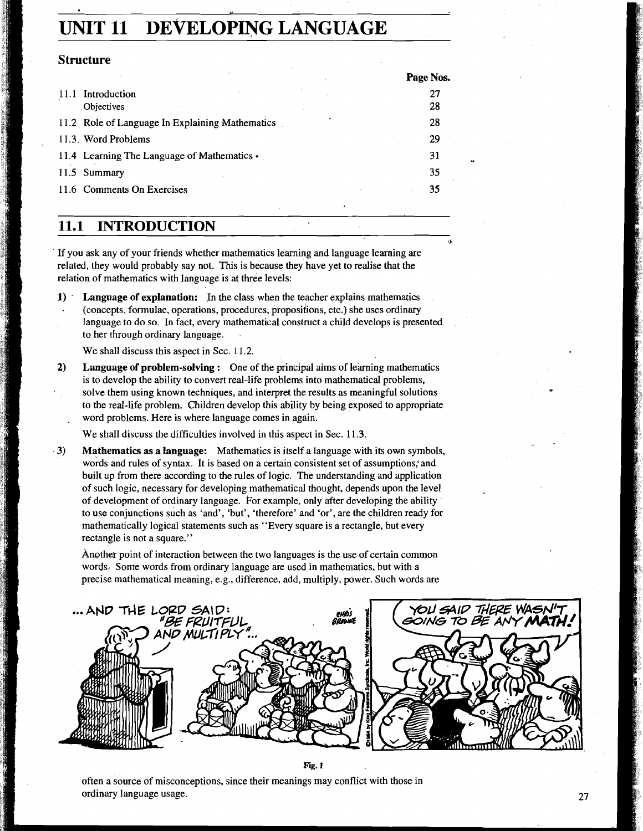# **UNIT 11 DEVELOPING LANGUAGE**

#### **Structure**

|                                                 | Page Nos. |
|-------------------------------------------------|-----------|
| 11.1 Introduction                               | 27        |
| Objectives                                      | 28        |
| 11.2 Role of Language In Explaining Mathematics | 28        |
| 11.3. Word Problems                             | 29        |
| 11.4 Learning The Language of Mathematics •     | 31        |
| 11.5 Summary                                    | 35        |
| 11.6 Comments On Exercises                      | 35        |
|                                                 |           |

**11.1 INTRODUCTION** 

If you ask any of your friends whether mathematics learning and language learning are related, they would probably say not. This is because they have yet to realise that the relation of mathematics with language is at three levels:

**1)** ' **Language of explanation:** In the class when the teacher explains mathematics (concepts, formulae, operations, procedures, proposiiions, etc.) she uses ordinary language to do so. In fact, every mathematical construct a child develops is presented to her through ordinary language. .

We shall discuss this aspect in Sec. 11.2.

**2) Language of problem-solving :** One of the principal aims of learning mathematics is to develop the ability to convert real-life problems into mathematical problems, solve them using known techniques, and interpret the results as meaningful solutions to the real-life problem. Children develop this ability by being exposed to appropriate . word problems. Here is where language comes in again.

We shall discuss the difficulties involved in this aspect in Sec. 11.3.

**3) Mathematics as a language:** Mathematics is itself a language with its own symbols, words and rules of syntax. It is based on a certain consistent set of assumptions: and built up from there according to the rules of logic. The understanding and application of such logic, necessary for developing mathematical thought, depends upon the level of development of ordinary language. Por example, only after developing the ability to use conjunctions such as 'and', 'but', 'therefore' and 'or', are the children ready for mathematically logical statements such as "Every square is a rectangle, but every rectangle is not a square."

Another point of interaction between the two languages is the use of certain common words. Some words from ordinary language are used in mathematics, but with a precise mathematical meaning, e.g., difference, add, multiply, power. Such words are



**4** 

**Fig. 1** 

often a source of misconceptions, since their meanings may conflict with those in ordinary language usage.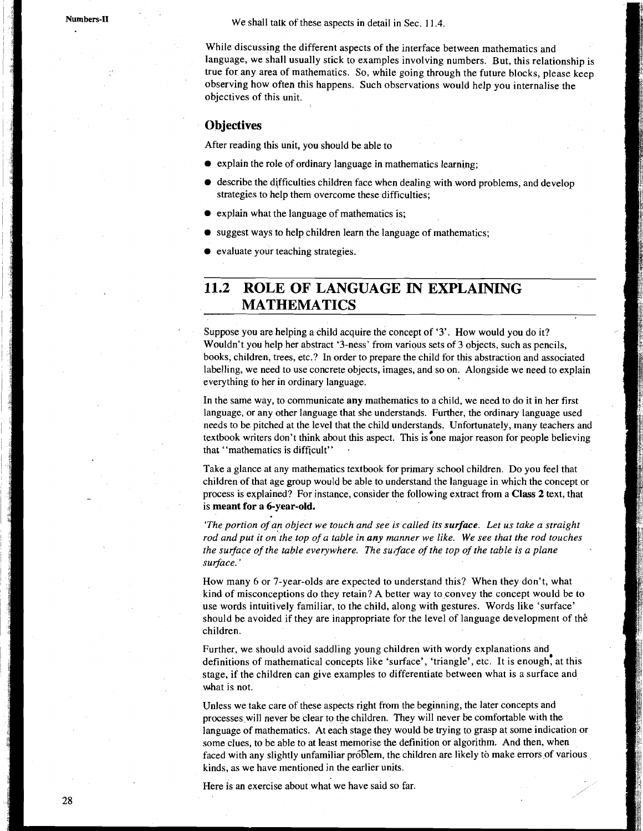We shall talk of these aspects in detail in Sec. 11.4.

While discussing the different aspects of the interface between mathematics and language, we shall usually stick to examples involving numbers. But, this relationship is true for any area of mathematics. So, while going through the future blocks, please keep observing how often this happens. Such observations would help you internalise the objectives of this unit.

#### **Objectives**

After reading this unit, you should be able to

- explain the role of ordinary language in mathematics learning;
- $\bullet$  describe the difficulties children face when dealing with word problems, and develop strategies to help them overcome these difficulties;
- explain what the language of mathematics is;
- $\bullet$  suggest ways to help children learn the language of mathematics;
- evaluate your teaching strategies.

# **11.2 ROLE OF LANGUAGE IN EXPLAINING MATHEMATICS**

Suppose you are helping a child acquire the concept of '3'. How would you do it? Wouldn't you help her abstract '3-ness' from various sets of 3 objects, such as pencils, books, children, trees, etc.? In order to prepare the child for this abstraction and associated labelling, we need to use concrete objects, images, and so on. Alongside we need to explain everything to her in ordinary language.

In the same way, to communicate **any** mathematics to a child, we need to do it in her first language, or any other language that she understands. Further, the ordinary language used needs to be pitched at the level that the child understands. Unfortunately, many teachers and textbook writers don't think about this aspect. This is one major reason for people believing that "mathematics is difficult" .

Take a glance at any mathematics textbook for primary school children. Do you feel that children of that age group would be able to understand the language in which the concept or process is explained? For instance, consider the following extract from a **Class** 2 text, that is **meant for a 6-year-old.** 

*'The portion of an object we touch and see is called its* **surface.** *Let us take a straight rod and put it on'the top of a table in any manner we like. We see that the rod touches the surface of the table everywhere. The surface of the top of the table is a plane surface.* '

How many 6 or 7-year-olds are expected to understand this? When they don't, what kind of misconceptions do they retain? A better way to convey the concept would be to use words intuitively familiar, to the child, along with gestures. Words like 'surface' should be avoided if they are inappropriate for the level of language development of the children.

Further, we should avoid saddling young children with wordy explanations and definitions of mathematical concepts like 'surface', 'triangle', etc. It is enough, at this stage, if the children can give examples to differentiate between what is a surface and what is not.

Unless we take care of these aspects right from the beginning, the later concepts and processes will never be clear to the children. They will never be comfortable with the language of mathematics. At each stage they would be trying to grasp at some indication or some clues, to be able to at least memorise the definition or algorithm. And then, when faced with any slightly unfamiliar problem, the children are likely to make errors of various kinds, as we have mentioned in the earlier units.

Here is an exercise about what we have said so far.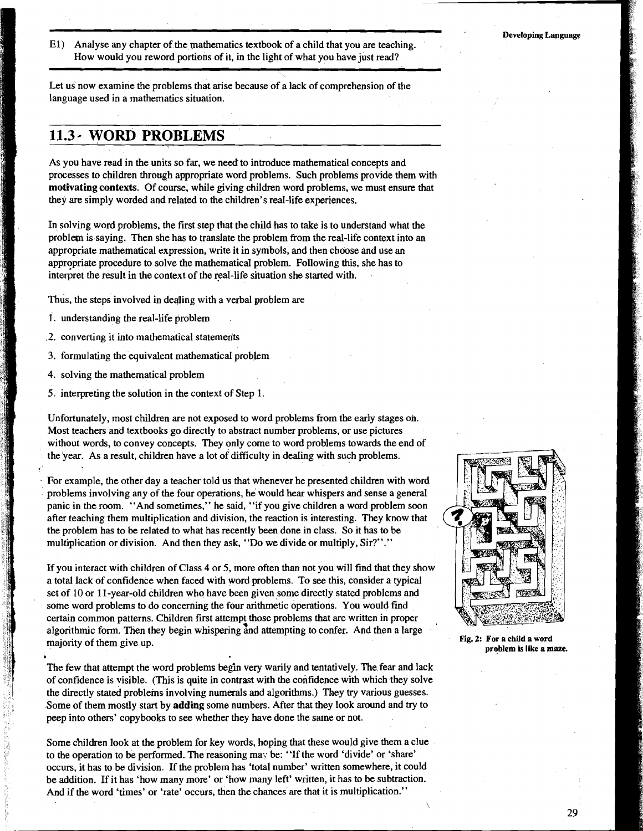El) Analyse any chapter of the mathematics textbook of a child that you are teaching. How would you reword portions of it, in the light of what you have just read?

Let us now examine the problems that arise because of a lack of comprehension of the language used in a mathematics situation.

#### **11.3** - **WORD PROBLEMS**

AS you have read in the units so far, we need' to introduce mathematical concepts and processes to children through appropriate word problems. Such problems provide them with **motivating contexts.** Of cowse, while giving children word problems, we must ensure that they are simply worded and related to the children's real-life experiences.

In solving word problems, the first step that the child has to take is to understand what the problem is saying. Then she has to translate the problem from the real-life context into an appropriate mathematical expression, write it in symbols, and then choose and use an appropriate procedure to solve the mathematical problem. Following this, she has to interpret the result in the context of the real-life situation she started with.

Thus, the steps involved in deqing with a verbal problem are

- 1. understanding the real-life problem
- .2. converting it into mathematical statements
- 3. formulating the equivalent mathematical problem
- 4. solving the mathematical problem

I

5. interpreting the solution in the context of Step 1.

Unfortunately, most children are not exposed to word problems from the early stages on. Most teachers and textbooks go directly to abstract number problems, or use pictures without words, to convey concepts. They only come to word problems towards the end of the year. As a result, children have a lot of difficulty in dealing with such problems.

For example, the other day a teacher told us that whenever he presented children with word problems involving any of the four operations, he would hear whispers and sense a general panic in the room. "And sometimes," he said, "if you give children a word problem soon after teaching them multiplication and division, the reaction is interesting. They know that the problem has to be related to what has recently been done in class. So it has to be multiplication or division. And then they ask, "Do we divide or multiply, Sir?"."

If you interact with children of Class 4 or 5, more often than not you will find that they show a total lack of confidence when faced with word problems. To see this, consider a typical set of 10 or 1 1-year-old children who have been given some directly stated problems and some word problems to do concerning the four arithmetic operations. You would find certain common patterns. Children first attempt those problems that are written in proper algorithmic form. Then they begin whispering and attempting to confer. And then a large majority of them give up.<br> **Fig. 2:** For a child a word problem is like a maze. **problem is like a maze.**<br> **problem is like a maze.** 

The few that attempt the word problems begin very warily and tentatively. The fear and lack of confidence is visible. (This is quite in contrast with the confidence with which they solve the directly stated problems involving numerals and algorithms.) They **try** various guesses. Some of them mostly start by **adding** some numbers. After that they look around and **try** to peep into others' copybooks to see whether they have done the same or not.

Some children look at the problem for key words, hoping that these would give them a clue to the operation to be performed. The reasoning may be: "If the word 'divide' or 'share' occurs, it has to be division. If the problem has 'total number' written somewhere, it could be addition. If it has 'how many more' or 'how many left' written, it has to be subtraction. And if the word 'times' or 'rate' occurs, then the chances are that it is multiplication."



 $\backslash$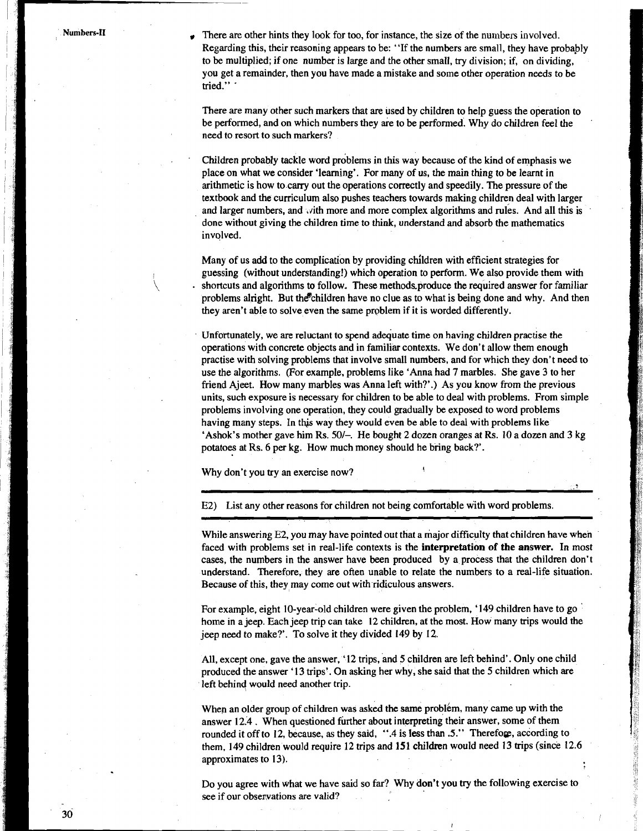\

There are other hints they look for too, for instance, the size of the numbers involved. Regarding this, their reasoning appears to be: "If the numbers are small, they have probably to be multiplied; if one number is large and the other small, **try** division; if, on dividing, you get a remainder, then you have made a mistake and some other operation needs to be tried." '

There are many other such markers that are used by children to help guess the operation to be performed, and on which numbers they are to be performed. Why do children feel the need to resort to such markers?

Children probably tackle word problems in this way because of the kind of emphasis we place on what we consider 'learning'. For many of us, the main thing to be learnt in arithmetic is how to cany out the operations correctly and speedily. The pressure of the textbook and the curriculum also pushes teachers towards making children deal with larger and larger numbers, and  $\nu$  ith more and more complex algorithms and rules. And all this is done without giving the children time to think, understand and absorb the mathematics involved.

Many of us add to the complication by providing children with efficient strategies for guessing (without understanding!) which operation to perform. We also provide them with shortcuts and algorithms to follow. These methods produce the required answer for familiar problems alright. But the children have no clue as to what is being done and why. And then they aren't able to solve even the same problem if it is worded differently.

Unfortunately, we are reluctant to spend adequate time on having children practise the operations with concrete objects and in familiar contexts. We don't allow them enough practise with solving problems that involve small numbers, and for which they don't need to use the algorithms. (For example, problems like 'Anna had 7 marbles. She gave 3 to her friend Ajeet. How many marbles was Anna left with?'.) As you know from the previous units, such exposure is necessary for children to be able to deal with problems. From simple problems involving one operation, they could gradually be exposed to word problems having many steps. In this way they would even be able to deal with problems like 'Ashok's mother gave him **Rs.** SO/-. He bought 2 dozen oranges at **Rs.** 10 a dozen and 3 kg potatoes at Rs. 6 per kg. How much money should he bring back?'.

Why don't you try an exercise now? **<sup>I</sup>**

E2) List any other reasons for children not being comfortable with word problems.

While answering E2, you may have pointed out that a major difficulty that children have when faced with problems set in real-life contexts is the **interpretation** of **the answer.** In most cases, the numbers in the answer have been produced by a process that the children don't understand. Therefore, they are often unable to relate the numbers to a real-life situation. Because of this, they may come out with ridiculous answers.

For example, eight 10-year-old children were given the problem, '149 children have to go ' home in a jeep. Each jeep trip can take 12 children, at the most. How many trips would the jeep need to make?. To solve it they divided 149 by 12.

All, except one, gave the answer, '12 trips, and 5 children are left behind'. Only one child produced the answer '13 trips'. On asking her why, she said that the 5 children which are left behind would need another trip.

When an older group of children was asked the same problem, many came up with the answer 12.4 . When questioned further about interpreting their answer, some of them rounded it off to 12, because, as they said, ".4 is less than .5." Therefore, according to them, 149 children would require 12 trips and 151 children would need 13 trips (since 12.6 approximates to 13).

Do you agree with what we have said so far? Why don't you try the following exercise to see if our observations are valid?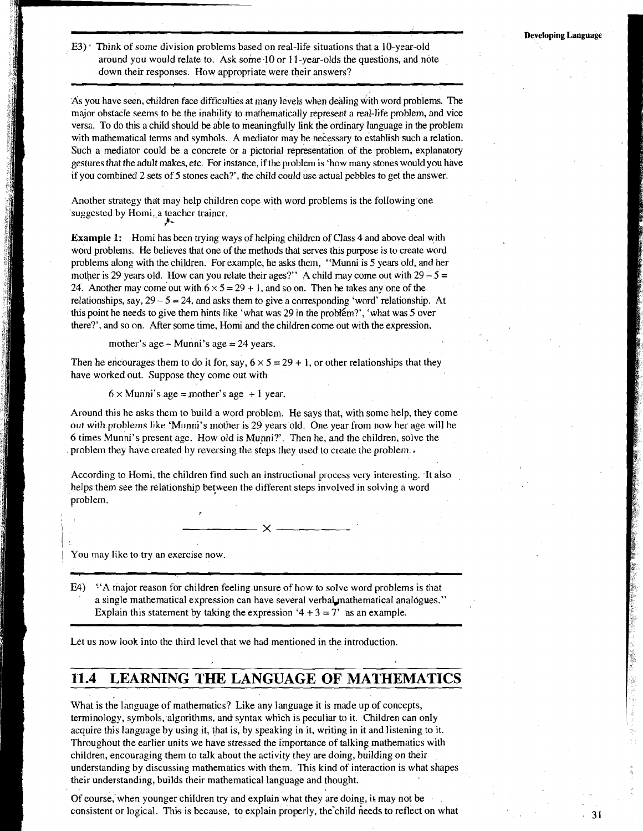E3) \* Think of some division problems based on real-life situations that a 10-year-old around you would relate to. Ask some.10 or 1 I-year-olds the questions, and note down their responses. How appropriate were their answers?

As you have seen, children face difticulties at many levels when dealing dith word problems. The major obstacle seems to be the inability to mathematically represent a real-life problem, and vice versa. To do this a child should be able to meaningfully link the ordinary language in the problem with mathematical terms and symbols. A mediator may be necessary to establish such a relation. Such a mediator could be a concrete or a pictorial representation of the problem, explanatory gestures that the adult makes, etc. For instance, if the problem is 'how many stones would you have if you combined 2 sets of 5 stones each?', the child could use actual pebbles to get the answer.

Another strategy that may help children cope with word problems is the following'one suggested by Homi, a teacher trainer. **f** -

**Example 1:** Homi has been trying ways of helping children of Class 4 and above deal with word problems. He believes that one of the methods that serves this purpose is to create word problems along with the children. For example, he asks them, "Munni is *5* years old, and her mother is 29 years old. How can you relate their ages?" A child may come out with  $29 - 5 =$ 24. Another may come out with  $6 \times 5 = 29 + 1$ , and so on. Then he takes any one of the relationships, say,  $29 - 5 = 24$ , and asks them to give a corresponding 'word' relationship. At this point he needs to give them hints like 'what was 29 in the problem?', 'what was 5 over there?', and so on. After some time, Homi and the children come out with the expression,

mother's age  $-$  Munni's age  $= 24$  years.

Then he encourages them to do it for, say,  $6 \times 5 = 29 + 1$ , or other relationships that they have worked out. Suppose they come out with

 $6 \times$  Munni's age = mother's age + 1 year.

Around this he asks them to build a word problem. He says that, with some help, they come out with problems like 'Munni's mother is 29 years old. One year from now her age will be 6 times Munni's present age. How old is Munni?'. Then he, and the children, solve the problem they have created by reversing the steps they used to create the problem..

According to Homi, the children find such an instructional process very interesting. It also helps them see the relationship between the different steps involved in solving a word problem.

 $\overline{\phantom{0}}$   $\overline{\phantom{0}}$   $\overline{\phantom{0}}$   $\overline{\phantom{0}}$   $\overline{\phantom{0}}$ 

You may like to try an exercise now.

**b** 

E4) <sup>4</sup>A major reason for children feeling unsure of how to solve word problems is that a single mathematical expression can have several verbal mathematical analógues." Explain this statement by taking the expression  $4 + 3 = 7'$  as an example.

Let us now look into the third level that we had mentioned in the introduction.

## **11.4 LEARNING THE LANGUAGE OF MATHEMATICS**

What is the language of mathematics? Like any language it is made up of concepts, terminology, symbols, algorithms, and syntax which is peculiar to it. Children can only acquire this language by using it, that is, by speaking in it, writing in it and listening to it. Throughout the earlier units we have stressed the importance of talking mathematics with children, encouraging them to talk about the activity they are doing, building on their understanding by discussing mathematics with them. This kind of interaction is what shapes their understanding, builds their mathematical language and thought.

Of eourse,'when younger children try and explain what they are doing, it may not be consistent or logical. This is because, to explain properly, the'child heeds to reflect on what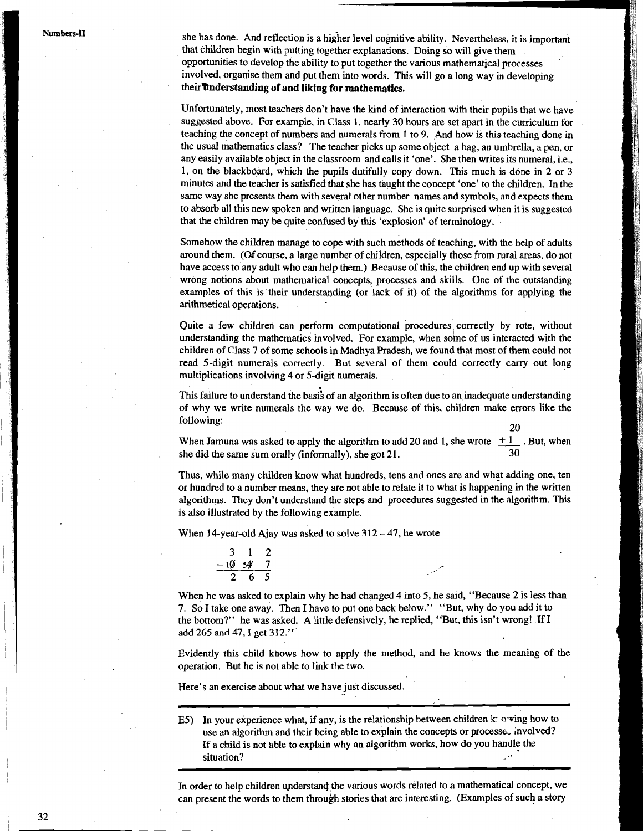she has done. And reflection is a higher level cognitive ability. Nevertheless, it is important that children begin with putting together explanations. Doing so will give them opportunities to develop the ability to put together the various mathematical processes involved, organise them and put them into words. This will go a long way in developing their **understanding of and liking for mathematics.** 

Unfortunately, most teachers don't have the kind of interaction with their pupils that we have suggested above. For example, in Class 1, nearly 30 hours are set apart in the curriculum for teaching the concept of numbers and numerals from 1 to 9. And how is this teaching done in the usual mathematics class? The teacher picks up some object a bag, an umbrella, a pen, or any easily available object in the classroom and calls it 'one'. She then writes its numeral, i.e., 1, on the blackboard, which the pupils dutifully copy down. This much is done in 2 or 3 minutes and the teacher is satisfied that she has taught the concept 'one' to the children. In the same way she presents them with several other number names and symbols, and expects them to absorb all this new spoken and written language. She is quite surprised when it is suggested that the children may be quite confused by this 'explosion' of terminology.

Somehow the children manage to cope with such methods of teaching, with the help of adults around them. (Of course, a large number of children, especially those from rural areas, do not have access to any adult who can help them.) Because of this, the children end up with several wrong notions about mathematical concepts, processes and skills. One of the outstanding examples of this is their understanding (or lack of it) of the algorithms for applying the arithmetical operations.

Quite a few children can perform computational procedures correctly by rote, without understanding the mathematics involved. For example, when some of us interacted with the children of Class 7 of some schools in Madhya Pradesh, we found that most of them could not read 5-digit numerals correctly. But several of them could correctly carry out long multiplications involving 4 or 5-digit numerals.

This failure to understand the basi's of an algorithm is often due to an inadequate understanding of why we write numerals the way we do. Because of this, children make errors like the following: 20

When Jamuna was asked to apply the algorithm to add 20 and 1, she wrote  $+1$ . But, when she did the same sum orally (informally), she got  $21$ .

Thus, while many children know what hundreds, tens and ones are and what adding one, ten or hundred to a number means, they are not able to relate it to what is happening in the written algorithms. They don't understand the steps and procedures suggested in the algorithm. This is also illustrated by the following example.

When 14-year-old Ajay was asked to solve  $312 - 47$ , he wrote

| З |                     | 7 |
|---|---------------------|---|
|   | $-10$ 54 $^{\circ}$ | 7 |
|   | 6 ა                 |   |

When he was asked to explain why he had changed 4 into 5, he said, "Because 2 is less than 7. So I take one away. Then I have to put one back below." "But, why do you add it to the bottom?" he was asked. A little defensively, he replied, "But, this isn't wrong! If I add 265 and 47, I get 312."

Evidently this child knows how to apply the method, and he knows the meaning of the operation. But he is not able to link the two.

Here's an exercise about what we have just discussed.

E5) In your experience what, if any, is the relationship between children  $k$  owing how to use an algorithm and their being able to explain the concepts or processe, involved? If a child is not able to explain why an algorithm works, how do you handle the situation?

In order to help children understand the various words related to a mathematical concept, we can present the words to them through stories that are interesting. (Examples of such a story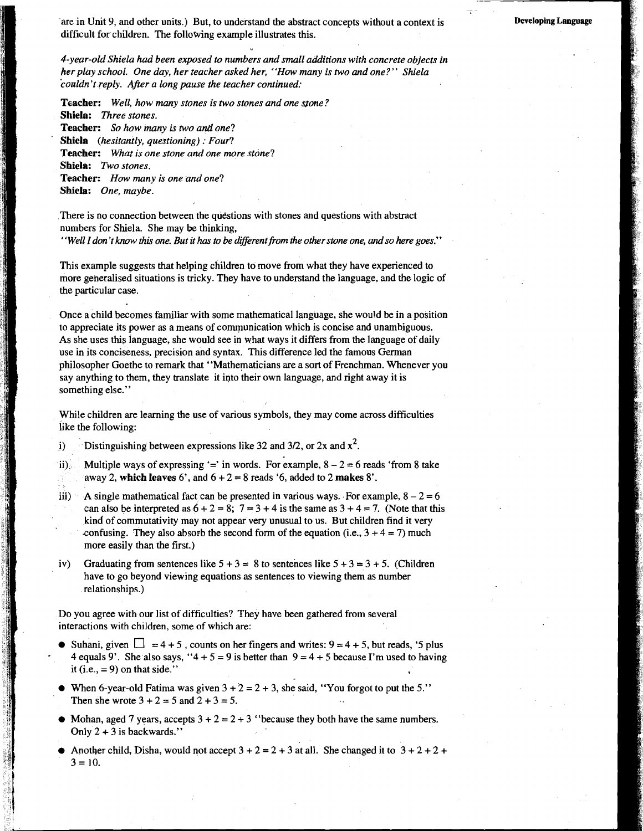are in Unit 9, and other units.) But, to understand the abstract concepts without a context is difficult for children. The following example illustrates this.

**Developing Language** 

*4-year-old Shiela had been exposed to numbers and small additions with concrete objects in her play school. One day, her teacher asked her, "Hav many is two* **and** *one?" Shiela 'couldn't reply. After a long pause the teacher continued:* 

**Teacher:** *Well, how many stones is two stones and one stone?*  **Shiela:** *Three stones.*  **Teacher:** *So how many is two anti one?*  **Shiela** *(hesitantly, questioning)* : *Four?* 

**Teacher:** *What is one stone and one more stone?*  **Shiela:** *Two stones.*  **Teacher:** *How many is one and one?*  **Shiela:** *One, maybe.* 

There is no connection between the questions with stones and questions with abstract numbers for Shiela. She may be thinking,

''Well I don't know this one. But it has to be different from the other stone one, and so here goes.''

This example suggests that helping children to move from what they have experienced to more generalised situations is tricky. They have to understand the language, and the logic of the particular case.

Once a child becomes familiar with some mathematical language, she would be in a position to appreciate its power as a means of communication which is concise and unambiguous. As she uses this language, she would see in what ways it differs from the language of daily use in its conciseness, precision and syntax. This difference led the famous German philosopher Goethe to remark that "Mathematicians are a sort of Frenchman. Whenever you say anything to them, they translate it into their own language, and right away it is something else."

While children are learning the use of various symbols, they may come across difficulties like the following:

i) Distinguishing between expressions like 32 and  $3/2$ , or  $2x$  and  $x^2$ .

ii) Multiple ways of expressing '=' in words. For example,  $8 - 2 = 6$  reads 'from 8 take away *2,* **which leaves** *6',* and **6** + *2* = *8* reads *'6,* added to *2* **makes** 8'.

- iii) A single mathematical fact can be presented in various ways. For example,  $8 2 = 6$ can also be interpreted as  $6 + 2 = 8$ ;  $7 = 3 + 4$  is the same as  $3 + 4 = 7$ . (Note that this kind of commutativity may not appear very unusual to us. But children find it very confusing. They also absorb the second form of the equation (i.e.,  $3 + 4 = 7$ ) much more easily than the first.)
- iv) Graduating from sentences like  $5 + 3 = 8$  to sentences like  $5 + 3 = 3 + 5$ . (Children have to go beyond viewing equations **as** sentences to viewing them as number relationships.)

Do you agree with our list of difficulties? They have been gathered from several interactions with children. some of which are:

- $\bullet$  Suhani, given  $\Box = 4 + 5$ , counts on her fingers and writes:  $9 = 4 + 5$ , but reads, '5 plus 4 equals 9'. She also says, "4 + 5 = 9 is better than  $9 = 4 + 5$  because I'm used to having it (i.e.,  $= 9$ ) on that side."
- When 6-year-old Fatima was given  $3 + 2 = 2 + 3$ , she said, "You forgot to put the 5." Then she wrote  $3 + 2 = 5$  and  $2 + 3 = 5$ .
- Mohan, aged 7 years, accepts  $3 + 2 = 2 + 3$  "because they both have the same numbers. Only  $2 + 3$  is backwards."
- Another child, Disha, would not accept  $3 + 2 = 2 + 3$  at all. She changed it to  $3 + 2 + 2 + 2$  $3 = 10$ .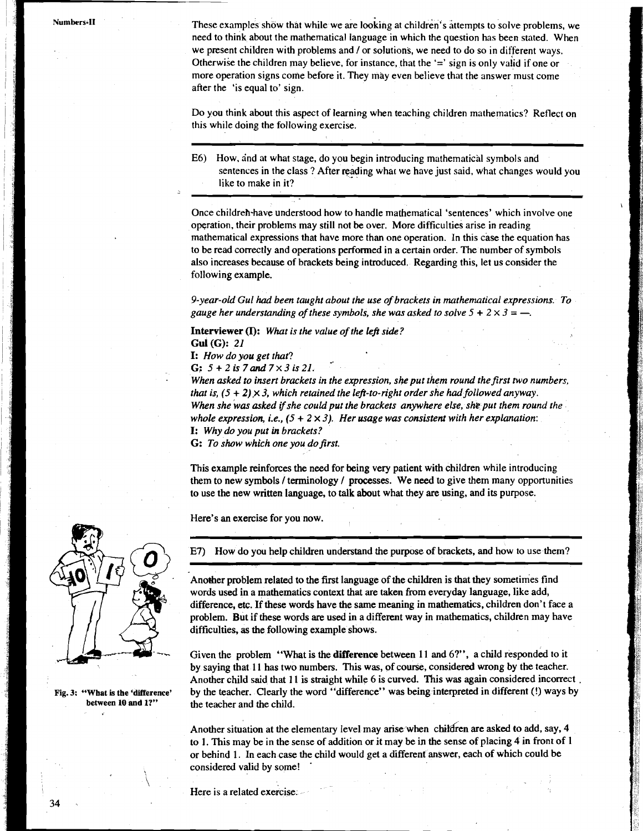These examples show that while we are looking at children's attempts to solve problems, we need to think about the mathematical language in which the question has been stated. When we present children with problems and / or solutions, we need to do so in different ways. Otherwise the children may believe, for instance, that the '=' sign is only valid if one or more operation signs come before it. They may even believe that the answer must come after the 'is equal to' sign.

Do you think about this aspect of learning when teaching children mathematics? Reflect on this while doing the following exercise.

E6) How, and at what stage, do you begin introducing mathematical symbols and sentences in the class ? After reading what we have just said, what changes would you . like to make in it?

Once childreh-have understood how to handle mathematical 'sentences' which involve one operation, their problems may still not be over. More difficulties arise in reading mathematical expressions that have more than one operation. In this case the equation has to be read correctly and operations performed in a certain order. The number of symbols also increases because of brackets being introduced. Regarding this, let us consider the following example.

*9-year-old Gul* **had** *been taught about the use of brackets in mathematical expressions. To gauge her understanding of these symbols, she was asked to solve*  $5 + 2 \times 3 = -$ .

**Interviewer (I):** *What is the value of the left side?*  **Gul (G):** *21* 

**I:** *How do you get that?* 

**G:** *5+2is7and7~3is21.* 

*When asked to insert brackets in the expression, she put them round the first two numbers, that is,*  $(5 + 2) \times 3$ *, which retained the left-to-right order she had followed anyway. When she was asked ifshe could put the brackets anywhere else, she put them round the*  whole expression, *i.e.*,  $(5 + 2 \times 3)$ . Her usage was consistent with her explanation: **I:** *Why do you put in brackets?* 

G: To show which one you do first.

This example reinforces the need for being very patient with children while introducing them to new symbols **1** terminology **1** processes. We need to give them many opportunities to use the new written language, to talk about what they are using, and its purpose. ew symbols / terminology /<br>new written language, to tal<br>exercise for you now.<br>we do you help children under

Here's an exercise for you now.

E7) How do you help children understand the purpose of brackets, and how to use them?

Another problem related to the first language of the children is that they sometimes find words used in a mathematics context that are taken from everyday language, like add, difference, etc. If these words have the same meaning in mathematics, children don't face a problem. But if these words are used in a different way in mathematics, children may have difficulties, as the following example shows.

Given the problem "What is the **difference** between 11 and **6?",** a child responded to it by saying that 11 has two numbers. This was, of course, considered wrong by the teacher. Another child said that 11 is straight while 6 is curved. This was again considered incorrect . by the teacher. Clearly the word "difference" was being interpreted in different (!) ways by the teacher and the child.

Another situation at the elementary level may arise when children are asked to add, say, 4 to 1. This may be in the sense of addition or it may be in the sense of placing 4 in front of 1 or behind 1. In each case the child would get a different answer, each of which could be considered valid by some! .

Here is a related exercise.



**Fig. 3: "Wbat is the 'difference'**  between 10 and 1?"

34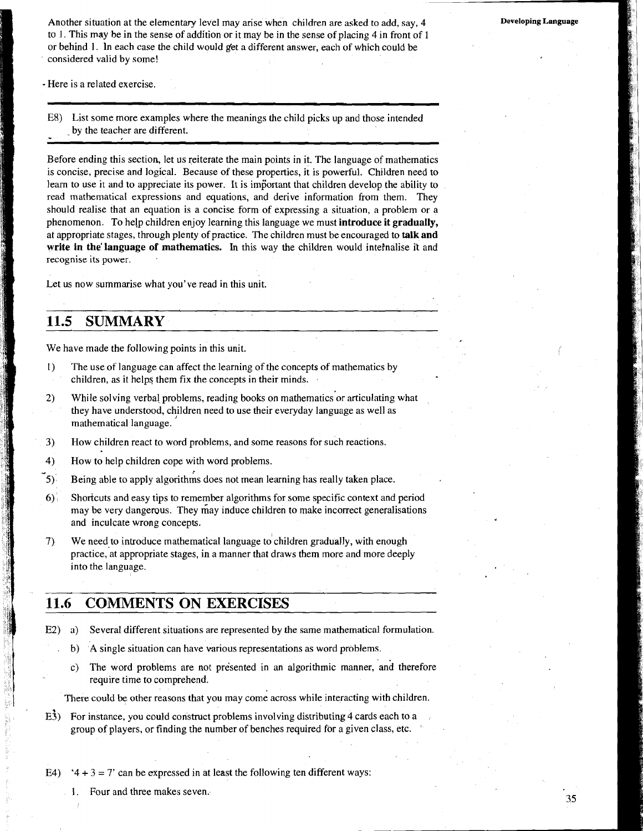Another situation at the elementary level may arise when children are asked to add, say, 4 to **1.** This may be in the sense of addition or it may be in the sense of placing 4 in front of 1 or behind 1. In each case the child would get a different answer, each of which could be considered valid by some!

- Here is a related exercise.

E8) List some more examples where the meanings the child picks up and those intended by the teacher are different.

Before ending this section, let us reiterate the main points in it. The language of mathematics is concise, precise and logical. Because of these properties, it is powerful. Children need to learn to use it and to appreciate its power. It is important that children develop the ability to read mathematical expressions and equations, and derive information from them. They should realise that an equation is a concise form of expressing a situation, a problem or a phenomenon. To help children enjoy learning this language we must **introduce it gradually,**  at appropriate stages, through plenty of practice. The children must be encouraged to **talk and write in the'language of mathematics.** In this way the children would intefnalise it and recognise its power. .

Let us now summarise what you've read in this unit.

## **11.5 SUMMARY**

We have made the following points in this unit.

- I) The use of language can affect the learning of the concepts of mathematics by children, as it helps them fix the concepts in their minds.
- *2)* While solving verbal problems, reading books on mathematics'or articulating what they have understood, children need to use their everyday language as well as mathematical language.
- **3)** How children react to word problems, and some reasons for such reactions.
- 4) How to help children cope with word problems.
- **5):** Being able to apply algorithms does not mean learning has really taken place.
- **6)** Shorlcuts and easy tips to remember algorithms for some specific context and period may be very dangerous. They may induce children to make incorrect generalisations and inculcate wrong concepts.
- 7) We need to introduce mathematical language tochildren gradually, with enough practice,'at appropriate stages, in a manner that draws them more and more deeply into the language.

### **11.6 COMMENTS ON EXERCISES**

- E2) a) Several different situations are represented by the same mathematical formulation.
	- i b) A single situation can have various representations as word problems.<br>
	c) The word problems are not presented in an algorithmic manner, a
	- The word problems are not presented in an algorithmic manner, and therefore require time to comprehend.

There could be other reasons that you may come across while interacting with children.

 $E<sup>3</sup>$ ) For instance, you could construct problems involving distributing 4 cards each to a group of players, or finding the number of benches required for a given class, etc.

E4) '4 + 3 = 7' can be expressed in at least the following ten different ways:

1. Four and three makes seven.